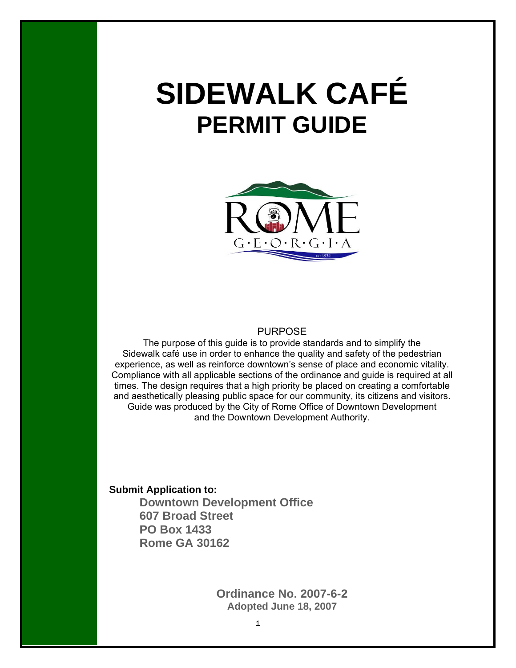# **SIDEWALK CAFÉ PERMIT GUIDE**



PURPOSE

The purpose of this guide is to provide standards and to simplify the Sidewalk café use in order to enhance the quality and safety of the pedestrian experience, as well as reinforce downtown's sense of place and economic vitality. Compliance with all applicable sections of the ordinance and guide is required at all times. The design requires that a high priority be placed on creating a comfortable and aesthetically pleasing public space for our community, its citizens and visitors. Guide was produced by the City of Rome Office of Downtown Development and the Downtown Development Authority.

**Submit Application to:** 

**Downtown Development Office 607 Broad Street PO Box 1433 Rome GA 30162** 

> **Ordinance No. 2007-6-2 Adopted June 18, 2007**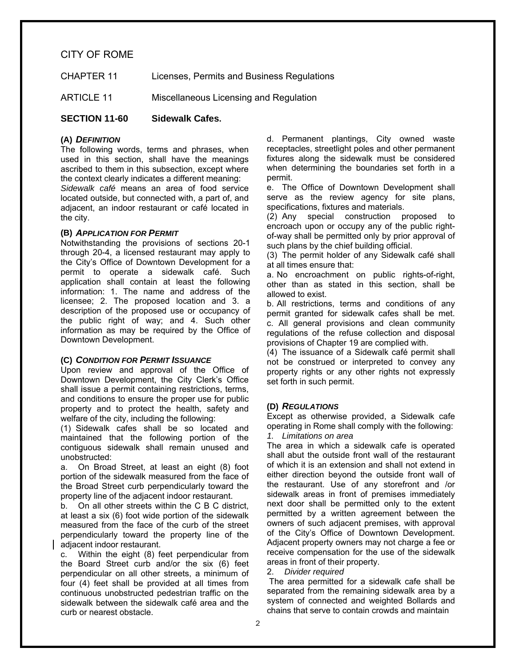### CITY OF ROME

CHAPTER 11 Licenses, Permits and Business Regulations

ARTICLE 11 Miscellaneous Licensing and Regulation

**SECTION 11-60 Sidewalk Cafes.** 

### **(A)** *DEFINITION*

the city.

The following words, terms and phrases, when used in this section, shall have the meanings ascribed to them in this subsection, except where the context clearly indicates a different meaning: *Sidewalk café* means an area of food service located outside, but connected with, a part of, and adjacent, an indoor restaurant or café located in

### **(B)** *APPLICATION FOR PERMIT*

Notwithstanding the provisions of sections 20-1 through 20-4, a licensed restaurant may apply to the City's Office of Downtown Development for a permit to operate a sidewalk café. Such application shall contain at least the following information: 1. The name and address of the licensee; 2. The proposed location and 3. a description of the proposed use or occupancy of the public right of way; and 4. Such other information as may be required by the Office of Downtown Development.

### **(C)** *CONDITION FOR PERMIT ISSUANCE*

Upon review and approval of the Office of Downtown Development, the City Clerk's Office shall issue a permit containing restrictions, terms, and conditions to ensure the proper use for public property and to protect the health, safety and welfare of the city, including the following:

(1) Sidewalk cafes shall be so located and maintained that the following portion of the contiguous sidewalk shall remain unused and unobstructed:

a. On Broad Street, at least an eight (8) foot portion of the sidewalk measured from the face of the Broad Street curb perpendicularly toward the property line of the adjacent indoor restaurant.

b. On all other streets within the C B C district, at least a six (6) foot wide portion of the sidewalk measured from the face of the curb of the street perpendicularly toward the property line of the adjacent indoor restaurant.

c. Within the eight (8) feet perpendicular from the Board Street curb and/or the six (6) feet perpendicular on all other streets, a minimum of four (4) feet shall be provided at all times from continuous unobstructed pedestrian traffic on the sidewalk between the sidewalk café area and the curb or nearest obstacle.

d. Permanent plantings, City owned waste receptacles, streetlight poles and other permanent fixtures along the sidewalk must be considered when determining the boundaries set forth in a permit.

e. The Office of Downtown Development shall serve as the review agency for site plans, specifications, fixtures and materials.

(2) Any special construction proposed to encroach upon or occupy any of the public rightof-way shall be permitted only by prior approval of such plans by the chief building official.

(3) The permit holder of any Sidewalk café shall at all times ensure that:

a. No encroachment on public rights-of-right, other than as stated in this section, shall be allowed to exist.

b. All restrictions, terms and conditions of any permit granted for sidewalk cafes shall be met. c. All general provisions and clean community regulations of the refuse collection and disposal provisions of Chapter 19 are complied with.

(4) The issuance of a Sidewalk café permit shall not be construed or interpreted to convey any property rights or any other rights not expressly set forth in such permit.

### **(D)** *REGULATIONS*

Except as otherwise provided, a Sidewalk cafe operating in Rome shall comply with the following: *1. Limitations on area* 

The area in which a sidewalk cafe is operated shall abut the outside front wall of the restaurant of which it is an extension and shall not extend in either direction beyond the outside front wall of the restaurant. Use of any storefront and /or sidewalk areas in front of premises immediately next door shall be permitted only to the extent permitted by a written agreement between the owners of such adjacent premises, with approval of the City's Office of Downtown Development. Adjacent property owners may not charge a fee or receive compensation for the use of the sidewalk areas in front of their property.

2. *Divider required*

The area permitted for a sidewalk cafe shall be separated from the remaining sidewalk area by a system of connected and weighted Bollards and chains that serve to contain crowds and maintain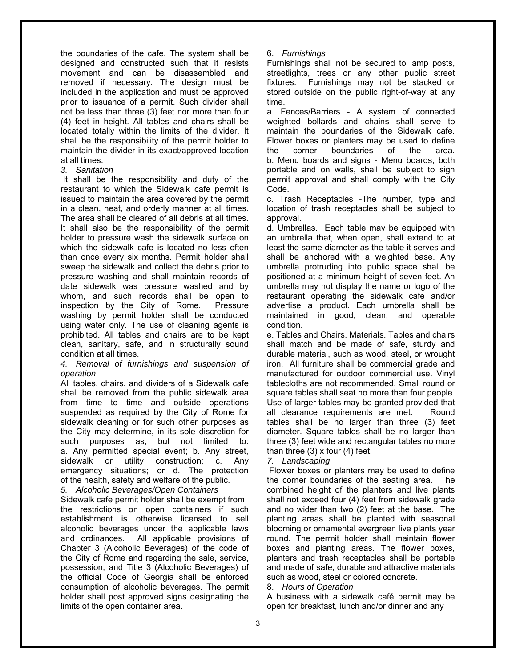the boundaries of the cafe. The system shall be designed and constructed such that it resists movement and can be disassembled and removed if necessary. The design must be included in the application and must be approved prior to issuance of a permit. Such divider shall not be less than three (3) feet nor more than four (4) feet in height. All tables and chairs shall be located totally within the limits of the divider. It shall be the responsibility of the permit holder to maintain the divider in its exact/approved location at all times.

*3. Sanitation* 

It shall be the responsibility and duty of the restaurant to which the Sidewalk cafe permit is issued to maintain the area covered by the permit in a clean, neat, and orderly manner at all times. The area shall be cleared of all debris at all times. It shall also be the responsibility of the permit holder to pressure wash the sidewalk surface on which the sidewalk cafe is located no less often than once every six months. Permit holder shall sweep the sidewalk and collect the debris prior to pressure washing and shall maintain records of date sidewalk was pressure washed and by whom, and such records shall be open to inspection by the City of Rome. Pressure washing by permit holder shall be conducted using water only. The use of cleaning agents is prohibited. All tables and chairs are to be kept clean, sanitary, safe, and in structurally sound condition at all times.

### *4. Removal of furnishings and suspension of operation*

All tables, chairs, and dividers of a Sidewalk cafe shall be removed from the public sidewalk area from time to time and outside operations suspended as required by the City of Rome for sidewalk cleaning or for such other purposes as the City may determine, in its sole discretion for such purposes as, but not limited to: a. Any permitted special event; b. Any street, sidewalk or utility construction; c. Any emergency situations; or d. The protection of the health, safety and welfare of the public.

### *5. Alcoholic Beverages/Open Containers*

Sidewalk cafe permit holder shall be exempt from the restrictions on open containers if such establishment is otherwise licensed to sell alcoholic beverages under the applicable laws and ordinances. All applicable provisions of Chapter 3 (Alcoholic Beverages) of the code of the City of Rome and regarding the sale, service, possession, and Title 3 (Alcoholic Beverages) of the official Code of Georgia shall be enforced consumption of alcoholic beverages. The permit holder shall post approved signs designating the limits of the open container area.

6. *Furnishings*

Furnishings shall not be secured to lamp posts, streetlights, trees or any other public street fixtures. Furnishings may not be stacked or stored outside on the public right-of-way at any time.

a. Fences/Barriers - A system of connected weighted bollards and chains shall serve to maintain the boundaries of the Sidewalk cafe. Flower boxes or planters may be used to define the corner boundaries of the area. b. Menu boards and signs - Menu boards, both portable and on walls, shall be subject to sign permit approval and shall comply with the City Code.

c. Trash Receptacles -The number, type and location of trash receptacles shall be subject to approval.

d. Umbrellas. Each table may be equipped with an umbrella that, when open, shall extend to at least the same diameter as the table it serves and shall be anchored with a weighted base. Any umbrella protruding into public space shall be positioned at a minimum height of seven feet. An umbrella may not display the name or logo of the restaurant operating the sidewalk cafe and/or advertise a product. Each umbrella shall be maintained in good, clean, and operable condition.

e. Tables and Chairs. Materials. Tables and chairs shall match and be made of safe, sturdy and durable material, such as wood, steel, or wrought iron. All furniture shall be commercial grade and manufactured for outdoor commercial use. Vinyl tablecloths are not recommended. Small round or square tables shall seat no more than four people. Use of larger tables may be granted provided that all clearance requirements are met. Round tables shall be no larger than three (3) feet diameter. Square tables shall be no larger than three (3) feet wide and rectangular tables no more than three  $(3)$  x four  $(4)$  feet.

### *7. Landscaping*

 Flower boxes or planters may be used to define the corner boundaries of the seating area. The combined height of the planters and live plants shall not exceed four (4) feet from sidewalk grade and no wider than two (2) feet at the base. The planting areas shall be planted with seasonal blooming or ornamental evergreen live plants year round. The permit holder shall maintain flower boxes and planting areas. The flower boxes, planters and trash receptacles shall be portable and made of safe, durable and attractive materials such as wood, steel or colored concrete.

### 8. *Hours of Operation*

A business with a sidewalk café permit may be open for breakfast, lunch and/or dinner and any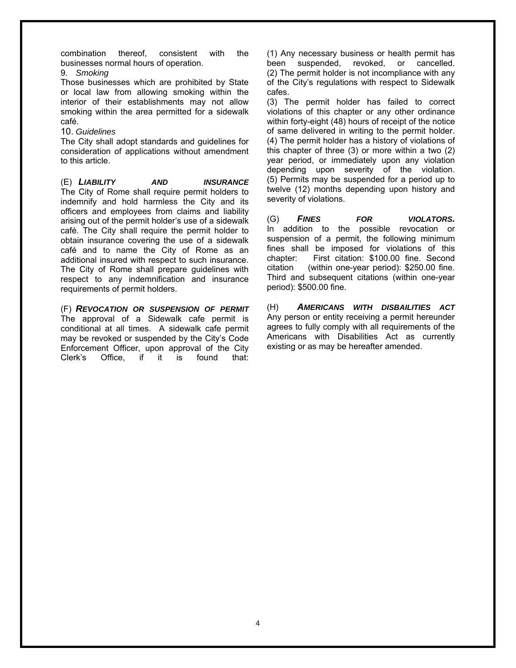combination thereof, consistent with the businesses normal hours of operation.

9. *Smoking*

Those businesses which are prohibited by State or local law from allowing smoking within the interior of their establishments may not allow smoking within the area permitted for a sidewalk café.

### 10. *Guidelines*

The City shall adopt standards and guidelines for consideration of applications without amendment to this article.

(E) *LIABILITY AND INSURANCE*  The City of Rome shall require permit holders to indemnify and hold harmless the City and its officers and employees from claims and liability arising out of the permit holder's use of a sidewalk café. The City shall require the permit holder to obtain insurance covering the use of a sidewalk café and to name the City of Rome as an additional insured with respect to such insurance. The City of Rome shall prepare guidelines with respect to any indemnification and insurance requirements of permit holders.

(F) *REVOCATION OR SUSPENSION OF PERMIT*  The approval of a Sidewalk cafe permit is conditional at all times. A sidewalk cafe permit may be revoked or suspended by the City's Code Enforcement Officer, upon approval of the City<br>Clerk's Office. if it is found that: Clerk's Office, if it is found that:

(1) Any necessary business or health permit has been suspended, revoked, or cancelled. (2) The permit holder is not incompliance with any of the City's regulations with respect to Sidewalk cafes.

(3) The permit holder has failed to correct violations of this chapter or any other ordinance within forty-eight (48) hours of receipt of the notice of same delivered in writing to the permit holder. (4) The permit holder has a history of violations of this chapter of three (3) or more within a two (2) year period, or immediately upon any violation depending upon severity of the violation. (5) Permits may be suspended for a period up to twelve (12) months depending upon history and severity of violations.

(G) *FINES FOR VIOLATORS.*  In addition to the possible revocation or suspension of a permit, the following minimum fines shall be imposed for violations of this chapter: First citation: \$100.00 fine. Second citation (within one-year period): \$250.00 fine. Third and subsequent citations (within one-year period): \$500.00 fine.

(H) *AMERICANS WITH DISBAILITIES ACT*  Any person or entity receiving a permit hereunder agrees to fully comply with all requirements of the Americans with Disabilities Act as currently existing or as may be hereafter amended.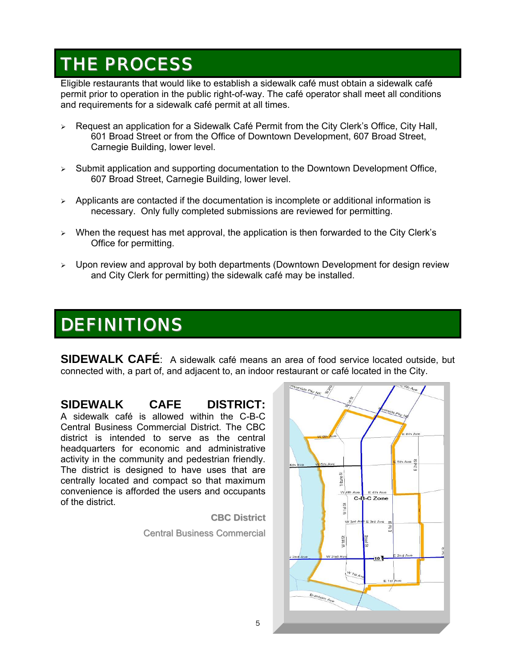### THE PROCESS

Eligible restaurants that would like to establish a sidewalk café must obtain a sidewalk café permit prior to operation in the public right-of-way. The café operator shall meet all conditions and requirements for a sidewalk café permit at all times.

- $\triangleright$  Request an application for a Sidewalk Café Permit from the City Clerk's Office, City Hall, 601 Broad Street or from the Office of Downtown Development, 607 Broad Street, Carnegie Building, lower level.
- ¾ Submit application and supporting documentation to the Downtown Development Office, 607 Broad Street, Carnegie Building, lower level.
- ¾ Applicants are contacted if the documentation is incomplete or additional information is necessary. Only fully completed submissions are reviewed for permitting.
- When the request has met approval, the application is then forwarded to the City Clerk's Office for permitting.
- $\triangleright$  Upon review and approval by both departments (Downtown Development for design review and City Clerk for permitting) the sidewalk café may be installed.

## DEFINITIONS

**SIDEWALK CAFÉ**: A sidewalk café means an area of food service located outside, but connected with, a part of, and adjacent to, an indoor restaurant or café located in the City.

**SIDEWALK CAFE DISTRICT:** A sidewalk café is allowed within the C-B-C Central Business Commercial District. The CBC district is intended to serve as the central headquarters for economic and administrative activity in the community and pedestrian friendly. The district is designed to have uses that are centrally located and compact so that maximum convenience is afforded the users and occupants of the district.

> **CBC District** Central Business Commercial

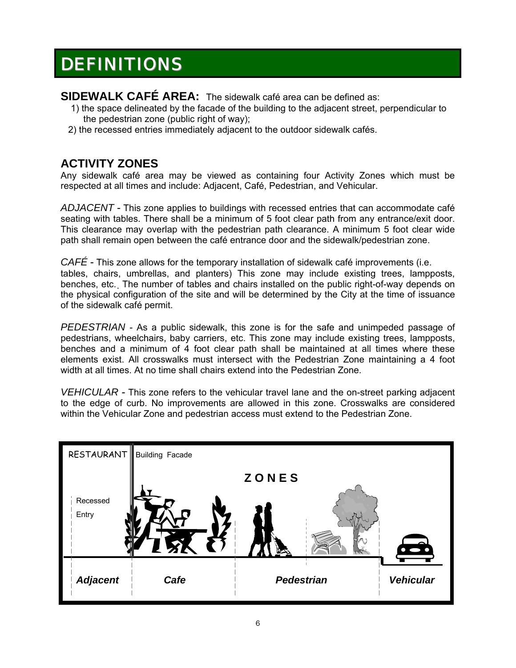## **DEFINITIONS**

**SIDEWALK CAFÉ AREA:** The sidewalk café area can be defined as:

- 1) the space delineated by the facade of the building to the adjacent street, perpendicular to the pedestrian zone (public right of way);
- 2) the recessed entries immediately adjacent to the outdoor sidewalk cafés.

### **ACTIVITY ZONES**

Any sidewalk café area may be viewed as containing four Activity Zones which must be respected at all times and include: Adjacent, Café, Pedestrian, and Vehicular.

*ADJACENT* - This zone applies to buildings with recessed entries that can accommodate café seating with tables. There shall be a minimum of 5 foot clear path from any entrance/exit door. This clearance may overlap with the pedestrian path clearance. A minimum 5 foot clear wide path shall remain open between the café entrance door and the sidewalk/pedestrian zone.

*CAFÉ* - This zone allows for the temporary installation of sidewalk café improvements (i.e. tables, chairs, umbrellas, and planters) This zone may include existing trees, lampposts, benches, etc. The number of tables and chairs installed on the public right-of-way depends on the physical configuration of the site and will be determined by the City at the time of issuance of the sidewalk café permit.

*PEDESTRIAN* - As a public sidewalk, this zone is for the safe and unimpeded passage of pedestrians, wheelchairs, baby carriers, etc. This zone may include existing trees, lampposts, benches and a minimum of 4 foot clear path shall be maintained at all times where these elements exist. All crosswalks must intersect with the Pedestrian Zone maintaining a 4 foot width at all times. At no time shall chairs extend into the Pedestrian Zone.

*VEHICULAR* - This zone refers to the vehicular travel lane and the on-street parking adjacent to the edge of curb. No improvements are allowed in this zone. Crosswalks are considered within the Vehicular Zone and pedestrian access must extend to the Pedestrian Zone.

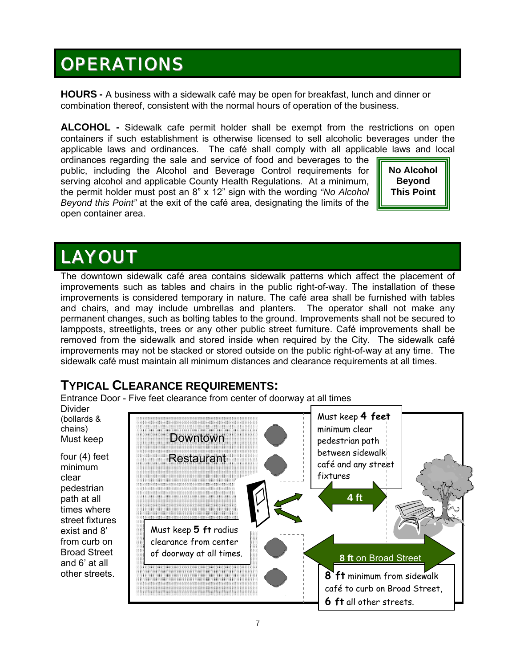## **OPERATIONS**

**HOURS -** A business with a sidewalk café may be open for breakfast, lunch and dinner or combination thereof, consistent with the normal hours of operation of the business.

**ALCOHOL -** Sidewalk cafe permit holder shall be exempt from the restrictions on open containers if such establishment is otherwise licensed to sell alcoholic beverages under the applicable laws and ordinances. The café shall comply with all applicable laws and local

ordinances regarding the sale and service of food and beverages to the public, including the Alcohol and Beverage Control requirements for serving alcohol and applicable County Health Regulations. At a minimum, the permit holder must post an 8" x 12" sign with the wording *"No Alcohol Beyond this Point"* at the exit of the café area, designating the limits of the open container area.

**No Alcohol Beyond This Point** 

## LAYOUT

The downtown sidewalk café area contains sidewalk patterns which affect the placement of improvements such as tables and chairs in the public right-of-way. The installation of these improvements is considered temporary in nature. The café area shall be furnished with tables and chairs, and may include umbrellas and planters. The operator shall not make any permanent changes, such as bolting tables to the ground. Improvements shall not be secured to lampposts, streetlights, trees or any other public street furniture. Café improvements shall be removed from the sidewalk and stored inside when required by the City. The sidewalk café improvements may not be stacked or stored outside on the public right-of-way at any time. The sidewalk café must maintain all minimum distances and clearance requirements at all times.

### **TYPICAL CLEARANCE REQUIREMENTS:**

Entrance Door - Five feet clearance from center of doorway at all times

Divider (bollards & chains) Must keep

four (4) feet minimum clear pedestrian path at all times where street fixtures exist and 8' from curb on Broad Street and 6' at all other streets.

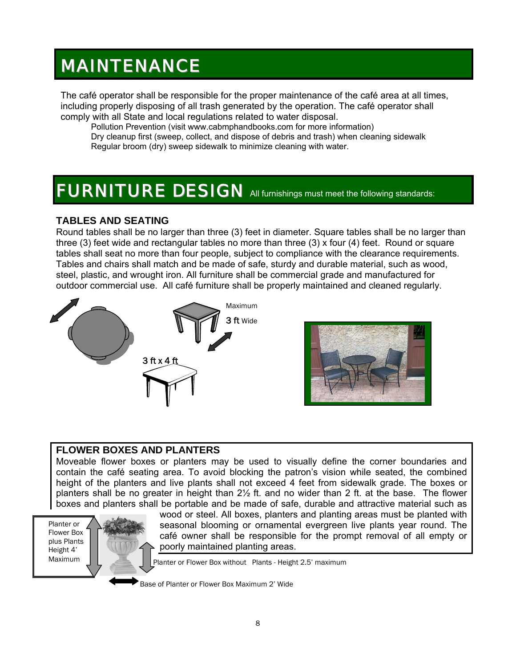## MAINTENANCE

The café operator shall be responsible for the proper maintenance of the café area at all times, including properly disposing of all trash generated by the operation. The café operator shall comply with all State and local regulations related to water disposal.

Pollution Prevention (visit www.cabmphandbooks.com for more information) Dry cleanup first (sweep, collect, and dispose of debris and trash) when cleaning sidewalk Regular broom (dry) sweep sidewalk to minimize cleaning with water.

## FURNITURE DESIGN All furnishings must meet the following standards:

### **TABLES AND SEATING**

Round tables shall be no larger than three (3) feet in diameter. Square tables shall be no larger than three (3) feet wide and rectangular tables no more than three (3) x four (4) feet. Round or square tables shall seat no more than four people, subject to compliance with the clearance requirements. Tables and chairs shall match and be made of safe, sturdy and durable material, such as wood, steel, plastic, and wrought iron. All furniture shall be commercial grade and manufactured for outdoor commercial use. All café furniture shall be properly maintained and cleaned regularly.





### **FLOWER BOXES AND PLANTERS**

Moveable flower boxes or planters may be used to visually define the corner boundaries and contain the café seating area. To avoid blocking the patron's vision while seated, the combined height of the planters and live plants shall not exceed 4 feet from sidewalk grade. The boxes or planters shall be no greater in height than  $2\frac{1}{2}$  ft. and no wider than 2 ft. at the base. The flower boxes and planters shall be portable and be made of safe, durable and attractive material such as

Planter or Flower Box plus Plants Height 4' Maximum



wood or steel. All boxes, planters and planting areas must be planted with seasonal blooming or ornamental evergreen live plants year round. The café owner shall be responsible for the prompt removal of all empty or poorly maintained planting areas.

Planter or Flower Box without Plants - Height 2.5' maximum

Base of Planter or Flower Box Maximum 2' Wide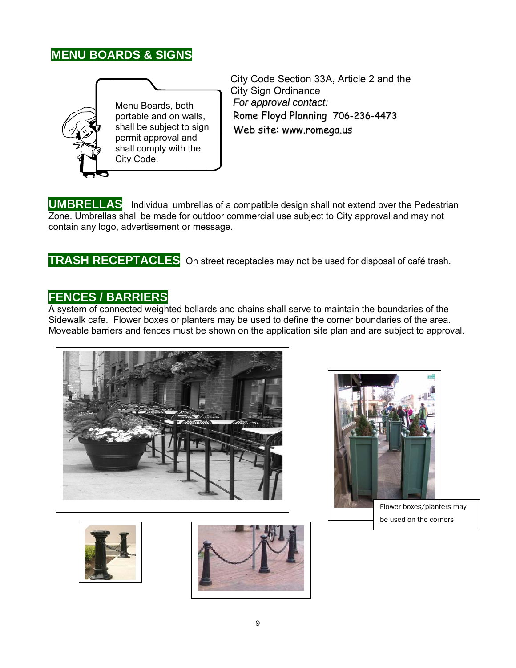### **MENU BOARDS & SIGNS**



City Code Section 33A, Article 2 and the City Sign Ordinance *For approval contact:* Rome Floyd Planning 706-236-4473 Web site: www.romega.us

**UMBRELLAS** Individual umbrellas of a compatible design shall not extend over the Pedestrian Zone. Umbrellas shall be made for outdoor commercial use subject to City approval and may not contain any logo, advertisement or message.

### **TRASH RECEPTACLES** On street receptacles may not be used for disposal of café trash.

### **FENCES / BARRIERS**

A system of connected weighted bollards and chains shall serve to maintain the boundaries of the Sidewalk cafe. Flower boxes or planters may be used to define the corner boundaries of the area. Moveable barriers and fences must be shown on the application site plan and are subject to approval.







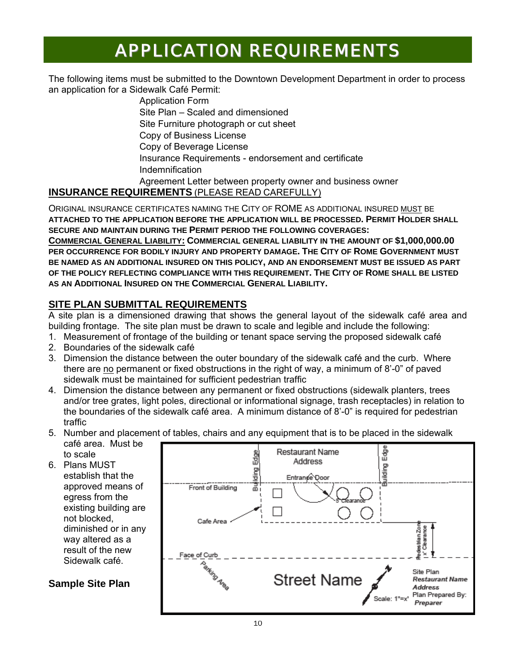## APPLICATION REQUIREMENTS

The following items must be submitted to the Downtown Development Department in order to process an application for a Sidewalk Café Permit:

> Application Form Site Plan – Scaled and dimensioned Site Furniture photograph or cut sheet Copy of Business License Copy of Beverage License Insurance Requirements - endorsement and certificate Indemnification Agreement Letter between property owner and business owner

### **INSURANCE REQUIREMENTS** (PLEASE READ CAREFULLY)

ORIGINAL INSURANCE CERTIFICATES NAMING THE CITY OF ROME AS ADDITIONAL INSURED MUST BE **ATTACHED TO THE APPLICATION BEFORE THE APPLICATION WILL BE PROCESSED. PERMIT HOLDER SHALL SECURE AND MAINTAIN DURING THE PERMIT PERIOD THE FOLLOWING COVERAGES:** 

**COMMERCIAL GENERAL LIABILITY: COMMERCIAL GENERAL LIABILITY IN THE AMOUNT OF \$1,000,000.00 PER OCCURRENCE FOR BODILY INJURY AND PROPERTY DAMAGE. THE CITY OF ROME GOVERNMENT MUST BE NAMED AS AN ADDITIONAL INSURED ON THIS POLICY, AND AN ENDORSEMENT MUST BE ISSUED AS PART OF THE POLICY REFLECTING COMPLIANCE WITH THIS REQUIREMENT. THE CITY OF ROME SHALL BE LISTED AS AN ADDITIONAL INSURED ON THE COMMERCIAL GENERAL LIABILITY.** 

### **SITE PLAN SUBMITTAL REQUIREMENTS**

A site plan is a dimensioned drawing that shows the general layout of the sidewalk café area and building frontage. The site plan must be drawn to scale and legible and include the following:

- 1. Measurement of frontage of the building or tenant space serving the proposed sidewalk café
- 2. Boundaries of the sidewalk café
- 3. Dimension the distance between the outer boundary of the sidewalk café and the curb. Where there are no permanent or fixed obstructions in the right of way, a minimum of 8'-0" of paved sidewalk must be maintained for sufficient pedestrian traffic
- 4. Dimension the distance between any permanent or fixed obstructions (sidewalk planters, trees and/or tree grates, light poles, directional or informational signage, trash receptacles) in relation to the boundaries of the sidewalk café area. A minimum distance of 8'-0" is required for pedestrian traffic
- 5. Number and placement of tables, chairs and any equipment that is to be placed in the sidewalk café area. Must be to scale
- 6. Plans MUST establish that the approved means of egress from the existing building are not blocked, diminished or in any way altered as a result of the new Sidewalk café.

### **Sample Site Plan**